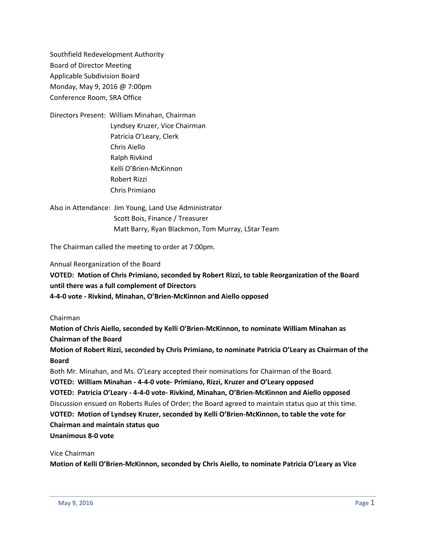Southfield Redevelopment Authority Board of Director Meeting Applicable Subdivision Board Monday, May 9, 2016 @ 7:00pm Conference Room, SRA Office

Directors Present: William Minahan, Chairman Lyndsey Kruzer, Vice Chairman Patricia O'Leary, Clerk Chris Aiello Ralph Rivkind Kelli O'Brien-McKinnon Robert Rizzi Chris Primiano

Also in Attendance: Jim Young, Land Use Administrator Scott Bois, Finance / Treasurer Matt Barry, Ryan Blackmon, Tom Murray, LStar Team

The Chairman called the meeting to order at 7:00pm.

Annual Reorganization of the Board

**VOTED: Motion of Chris Primiano, seconded by Robert Rizzi, to table Reorganization of the Board until there was a full complement of Directors 4-4-0 vote - Rivkind, Minahan, O'Brien-McKinnon and Aiello opposed**

#### Chairman

**Motion of Chris Aiello, seconded by Kelli O'Brien-McKinnon, to nominate William Minahan as Chairman of the Board**

**Motion of Robert Rizzi, seconded by Chris Primiano, to nominate Patricia O'Leary as Chairman of the Board**

Both Mr. Minahan, and Ms. O'Leary accepted their nominations for Chairman of the Board.

**VOTED: William Minahan - 4-4-0 vote- Primiano, Rizzi, Kruzer and O'Leary opposed VOTED: Patricia O'Leary - 4-4-0 vote- Rivkind, Minahan, O'Brien-McKinnon and Aiello opposed** Discussion ensued on Roberts Rules of Order; the Board agreed to maintain status quo at this time. **VOTED: Motion of Lyndsey Kruzer, seconded by Kelli O'Brien-McKinnon, to table the vote for Chairman and maintain status quo Unanimous 8-0 vote**

#### Vice Chairman

**Motion of Kelli O'Brien-McKinnon, seconded by Chris Aiello, to nominate Patricia O'Leary as Vice**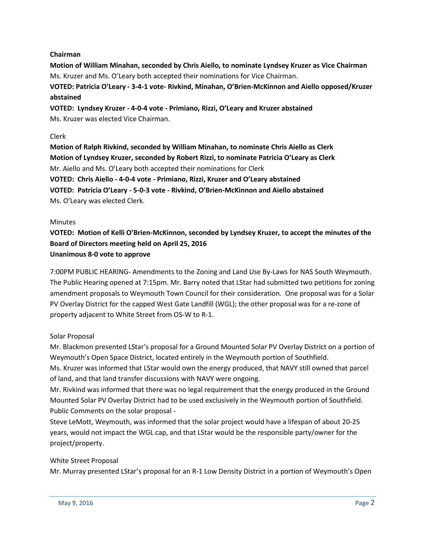# **Chairman**

**Motion of William Minahan, seconded by Chris Aiello, to nominate Lyndsey Kruzer as Vice Chairman** Ms. Kruzer and Ms. O'Leary both accepted their nominations for Vice Chairman.

**VOTED: Patricia O'Leary - 3-4-1 vote- Rivkind, Minahan, O'Brien-McKinnon and Aiello opposed/Kruzer abstained**

**VOTED: Lyndsey Kruzer - 4-0-4 vote - Primiano, Rizzi, O'Leary and Kruzer abstained** Ms. Kruzer was elected Vice Chairman.

## Clerk

**Motion of Ralph Rivkind, seconded by William Minahan, to nominate Chris Aiello as Clerk Motion of Lyndsey Kruzer, seconded by Robert Rizzi, to nominate Patricia O'Leary as Clerk** Mr. Aiello and Ms. O'Leary both accepted their nominations for Clerk **VOTED: Chris Aiello - 4-0-4 vote - Primiano, Rizzi, Kruzer and O'Leary abstained VOTED: Patricia O'Leary - 5-0-3 vote - Rivkind, O'Brien-McKinnon and Aiello abstained** Ms. O'Leary was elected Clerk.

## **Minutes**

**VOTED: Motion of Kelli O'Brien-McKinnon, seconded by Lyndsey Kruzer, to accept the minutes of the Board of Directors meeting held on April 25, 2016 Unanimous 8-0 vote to approve**

7:00PM PUBLIC HEARING- Amendments to the Zoning and Land Use By-Laws for NAS South Weymouth. The Public Hearing opened at 7:15pm. Mr. Barry noted that LStar had submitted two petitions for zoning amendment proposals to Weymouth Town Council for their consideration. One proposal was for a Solar PV Overlay District for the capped West Gate Landfill (WGL); the other proposal was for a re-zone of property adjacent to White Street from OS-W to R-1.

## Solar Proposal

Mr. Blackmon presented LStar's proposal for a Ground Mounted Solar PV Overlay District on a portion of Weymouth's Open Space District, located entirely in the Weymouth portion of Southfield.

Ms. Kruzer was informed that LStar would own the energy produced, that NAVY still owned that parcel of land, and that land transfer discussions with NAVY were ongoing.

Mr. Rivkind was informed that there was no legal requirement that the energy produced in the Ground Mounted Solar PV Overlay District had to be used exclusively in the Weymouth portion of Southfield. Public Comments on the solar proposal -

Steve LeMott, Weymouth, was informed that the solar project would have a lifespan of about 20-25 years, would not impact the WGL cap, and that LStar would be the responsible party/owner for the project/property.

## White Street Proposal

Mr. Murray presented LStar's proposal for an R-1 Low Density District in a portion of Weymouth's Open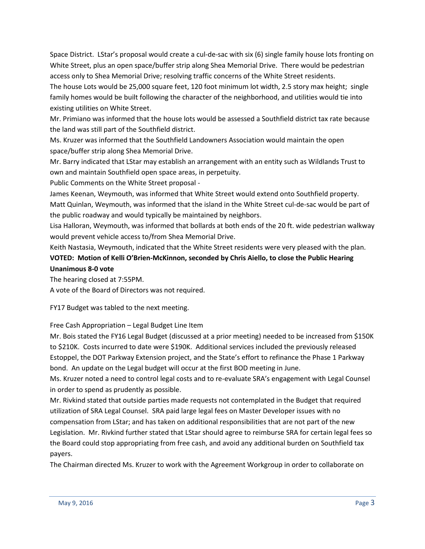Space District. LStar's proposal would create a cul-de-sac with six (6) single family house lots fronting on White Street, plus an open space/buffer strip along Shea Memorial Drive. There would be pedestrian access only to Shea Memorial Drive; resolving traffic concerns of the White Street residents.

The house Lots would be 25,000 square feet, 120 foot minimum lot width, 2.5 story max height; single family homes would be built following the character of the neighborhood, and utilities would tie into existing utilities on White Street.

Mr. Primiano was informed that the house lots would be assessed a Southfield district tax rate because the land was still part of the Southfield district.

Ms. Kruzer was informed that the Southfield Landowners Association would maintain the open space/buffer strip along Shea Memorial Drive.

Mr. Barry indicated that LStar may establish an arrangement with an entity such as Wildlands Trust to own and maintain Southfield open space areas, in perpetuity.

Public Comments on the White Street proposal -

James Keenan, Weymouth, was informed that White Street would extend onto Southfield property. Matt Quinlan, Weymouth, was informed that the island in the White Street cul-de-sac would be part of the public roadway and would typically be maintained by neighbors.

Lisa Halloran, Weymouth, was informed that bollards at both ends of the 20 ft. wide pedestrian walkway would prevent vehicle access to/from Shea Memorial Drive.

Keith Nastasia, Weymouth, indicated that the White Street residents were very pleased with the plan.

# **VOTED: Motion of Kelli O'Brien-McKinnon, seconded by Chris Aiello, to close the Public Hearing Unanimous 8-0 vote**

The hearing closed at 7:55PM.

A vote of the Board of Directors was not required.

FY17 Budget was tabled to the next meeting.

Free Cash Appropriation – Legal Budget Line Item

Mr. Bois stated the FY16 Legal Budget (discussed at a prior meeting) needed to be increased from \$150K to \$210K. Costs incurred to date were \$190K. Additional services included the previously released Estoppel, the DOT Parkway Extension project, and the State's effort to refinance the Phase 1 Parkway bond. An update on the Legal budget will occur at the first BOD meeting in June.

Ms. Kruzer noted a need to control legal costs and to re-evaluate SRA's engagement with Legal Counsel in order to spend as prudently as possible.

Mr. Rivkind stated that outside parties made requests not contemplated in the Budget that required utilization of SRA Legal Counsel. SRA paid large legal fees on Master Developer issues with no compensation from LStar; and has taken on additional responsibilities that are not part of the new Legislation. Mr. Rivkind further stated that LStar should agree to reimburse SRA for certain legal fees so the Board could stop appropriating from free cash, and avoid any additional burden on Southfield tax payers.

The Chairman directed Ms. Kruzer to work with the Agreement Workgroup in order to collaborate on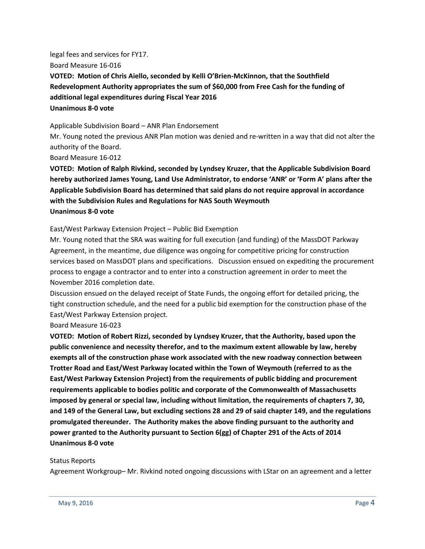legal fees and services for FY17. Board Measure 16-016 **VOTED: Motion of Chris Aiello, seconded by Kelli O'Brien-McKinnon, that the Southfield Redevelopment Authority appropriates the sum of \$60,000 from Free Cash for the funding of additional legal expenditures during Fiscal Year 2016 Unanimous 8-0 vote**

#### Applicable Subdivision Board – ANR Plan Endorsement

Mr. Young noted the previous ANR Plan motion was denied and re-written in a way that did not alter the authority of the Board.

Board Measure 16-012

**VOTED: Motion of Ralph Rivkind, seconded by Lyndsey Kruzer, that the Applicable Subdivision Board hereby authorized James Young, Land Use Administrator, to endorse 'ANR' or 'Form A' plans after the Applicable Subdivision Board has determined that said plans do not require approval in accordance with the Subdivision Rules and Regulations for NAS South Weymouth Unanimous 8-0 vote**

East/West Parkway Extension Project – Public Bid Exemption

Mr. Young noted that the SRA was waiting for full execution (and funding) of the MassDOT Parkway Agreement, in the meantime, due diligence was ongoing for competitive pricing for construction services based on MassDOT plans and specifications. Discussion ensued on expediting the procurement process to engage a contractor and to enter into a construction agreement in order to meet the November 2016 completion date.

Discussion ensued on the delayed receipt of State Funds, the ongoing effort for detailed pricing, the tight construction schedule, and the need for a public bid exemption for the construction phase of the East/West Parkway Extension project.

Board Measure 16-023

**VOTED: Motion of Robert Rizzi, seconded by Lyndsey Kruzer, that the Authority, based upon the public convenience and necessity therefor, and to the maximum extent allowable by law, hereby exempts all of the construction phase work associated with the new roadway connection between Trotter Road and East/West Parkway located within the Town of Weymouth (referred to as the East/West Parkway Extension Project) from the requirements of public bidding and procurement requirements applicable to bodies politic and corporate of the Commonwealth of Massachusetts imposed by general or special law, including without limitation, the requirements of chapters 7, 30, and 149 of the General Law, but excluding sections 28 and 29 of said chapter 149, and the regulations promulgated thereunder. The Authority makes the above finding pursuant to the authority and power granted to the Authority pursuant to Section 6(gg) of Chapter 291 of the Acts of 2014 Unanimous 8-0 vote**

#### Status Reports

Agreement Workgroup– Mr. Rivkind noted ongoing discussions with LStar on an agreement and a letter